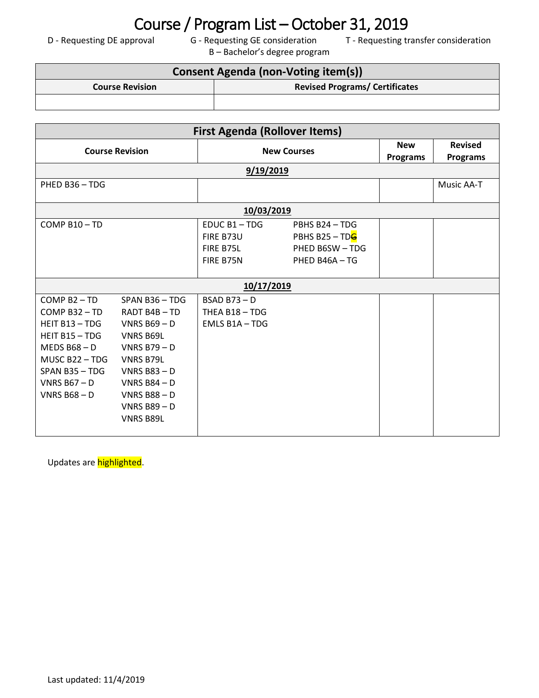## Course / Program List – October 31, 2019<br>D - Requesting DE approval G - Requesting GE consideration T - Requesting tr

B – Bachelor's degree program

T - Requesting transfer consideration

## **Consent Agenda (non-Voting item(s)) Course Revision Revised Programs/ Certificates**

| <b>First Agenda (Rollover Items)</b> |                  |                       |                 |            |                 |  |  |  |  |
|--------------------------------------|------------------|-----------------------|-----------------|------------|-----------------|--|--|--|--|
| <b>Course Revision</b>               |                  | <b>New Courses</b>    |                 | <b>New</b> | <b>Revised</b>  |  |  |  |  |
|                                      |                  |                       |                 | Programs   | <b>Programs</b> |  |  |  |  |
| 9/19/2019                            |                  |                       |                 |            |                 |  |  |  |  |
| PHED B36 - TDG                       |                  |                       |                 |            | Music AA-T      |  |  |  |  |
|                                      |                  |                       |                 |            |                 |  |  |  |  |
| 10/03/2019                           |                  |                       |                 |            |                 |  |  |  |  |
| COMP $B10 - TD$                      |                  | EDUC B1-TDG           | PBHS B24 - TDG  |            |                 |  |  |  |  |
|                                      |                  | FIRE B73U             | PBHS B25 - TDG  |            |                 |  |  |  |  |
|                                      |                  | FIRE B75L             | PHED B6SW - TDG |            |                 |  |  |  |  |
|                                      |                  | FIRE B75N             | PHED B46A - TG  |            |                 |  |  |  |  |
|                                      |                  |                       |                 |            |                 |  |  |  |  |
| 10/17/2019                           |                  |                       |                 |            |                 |  |  |  |  |
| COMP B2-TD                           | $SPAN B36 - TDG$ | $BSAD B73 - D$        |                 |            |                 |  |  |  |  |
| COMP B32-TD                          | RADT B4B-TD      | THEA B18 - TDG        |                 |            |                 |  |  |  |  |
| HEIT B13 - TDG                       | VNRS $B69 - D$   | <b>EMLS B1A - TDG</b> |                 |            |                 |  |  |  |  |
| HEIT $B15 - TDG$                     | <b>VNRS B69L</b> |                       |                 |            |                 |  |  |  |  |
| MEDS $B68 - D$                       | VNRS $B79 - D$   |                       |                 |            |                 |  |  |  |  |
| MUSC B22-TDG                         | <b>VNRS B79L</b> |                       |                 |            |                 |  |  |  |  |
| SPAN B35 - TDG                       | VNRS $B83 - D$   |                       |                 |            |                 |  |  |  |  |
| VNRS $B67 - D$                       | VNRS $B84 - D$   |                       |                 |            |                 |  |  |  |  |
| VNRS $B68 - D$                       | VNRS $B88 - D$   |                       |                 |            |                 |  |  |  |  |
|                                      | VNRS $B89 - D$   |                       |                 |            |                 |  |  |  |  |
|                                      | <b>VNRS B89L</b> |                       |                 |            |                 |  |  |  |  |
|                                      |                  |                       |                 |            |                 |  |  |  |  |

Updates are highlighted.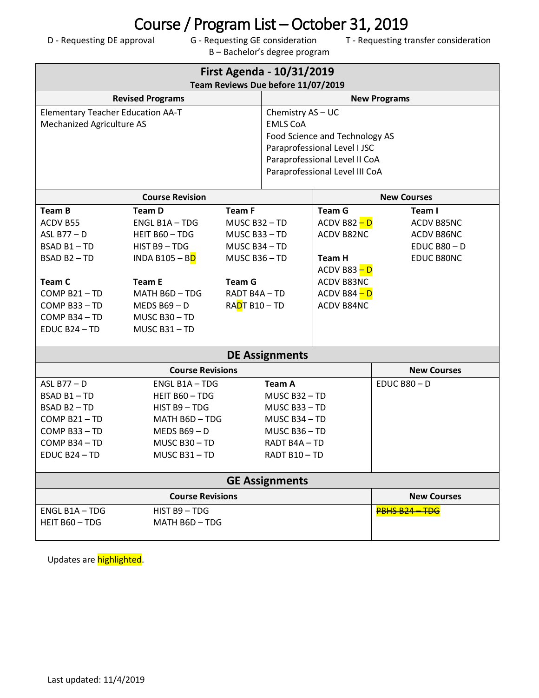## Course / Program List – October 31, 2019<br>D - Requesting DE approval G - Requesting GE consideration T - Requesting tr

B – Bachelor's degree program

T - Requesting transfer consideration

| <b>First Agenda - 10/31/2019</b><br>Team Reviews Due before 11/07/2019 |                              |                     |                                |                                |                |  |  |  |
|------------------------------------------------------------------------|------------------------------|---------------------|--------------------------------|--------------------------------|----------------|--|--|--|
| <b>Revised Programs</b>                                                |                              | <b>New Programs</b> |                                |                                |                |  |  |  |
| <b>Elementary Teacher Education AA-T</b>                               |                              |                     | Chemistry AS - UC              |                                |                |  |  |  |
| <b>Mechanized Agriculture AS</b>                                       |                              |                     | <b>EMLS CoA</b>                |                                |                |  |  |  |
|                                                                        |                              |                     | Food Science and Technology AS |                                |                |  |  |  |
|                                                                        |                              |                     | Paraprofessional Level I JSC   |                                |                |  |  |  |
|                                                                        |                              |                     | Paraprofessional Level II CoA  |                                |                |  |  |  |
|                                                                        |                              |                     |                                | Paraprofessional Level III CoA |                |  |  |  |
|                                                                        |                              |                     |                                | <b>New Courses</b>             |                |  |  |  |
| <b>Team B</b>                                                          | <b>Team D</b>                | <b>Team F</b>       |                                | <b>Team G</b>                  | Team I         |  |  |  |
| ACDV B55                                                               | ENGL B1A-TDG                 | MUSC B32-TD         |                                | $ACDV$ B82 $-D$                | ACDV B85NC     |  |  |  |
| ASL B77-D                                                              | HEIT B60 - TDG               | MUSC B33-TD         |                                | ACDV B82NC                     | ACDV B86NC     |  |  |  |
| BSAD B1-TD                                                             | HIST B9 - TDG                | MUSC B34 - TD       |                                |                                | $EDUC$ B80 - D |  |  |  |
| BSAD B2-TD                                                             | INDA B105 - B <mark>D</mark> | MUSC B36-TD         |                                | Team H                         | EDUC B80NC     |  |  |  |
|                                                                        |                              |                     |                                | $ACDV$ B83 $-D$                |                |  |  |  |
| Team C                                                                 | <b>Team E</b>                | <b>Team G</b>       |                                | ACDV B83NC                     |                |  |  |  |
| COMP B21-TD                                                            | MATH B6D-TDG                 | RADT B4A-TD         |                                | $ACDV$ B84 $-D$                |                |  |  |  |
| COMP B33-TD                                                            | MEDS $B69 - D$               | RADT B10 - TD       |                                | ACDV B84NC                     |                |  |  |  |
| COMP B34-TD                                                            | MUSC B30-TD                  |                     |                                |                                |                |  |  |  |
| EDUC B24 - TD                                                          | MUSC B31-TD                  |                     |                                |                                |                |  |  |  |
| <b>DE Assignments</b>                                                  |                              |                     |                                |                                |                |  |  |  |
|                                                                        | <b>New Courses</b>           |                     |                                |                                |                |  |  |  |
| ASL B77-D                                                              | <b>ENGL B1A-TDG</b>          |                     | <b>Team A</b>                  |                                | $EDUCB80 - D$  |  |  |  |
| BSAD B1-TD                                                             | HEIT B60 - TDG               |                     | MUSC B32-TD                    |                                |                |  |  |  |
| BSAD B2-TD                                                             | HIST B9 - TDG                |                     | MUSC B33-TD                    |                                |                |  |  |  |
| COMP B21-TD                                                            | MATH B6D - TDG               |                     | MUSC B34 - TD                  |                                |                |  |  |  |
| COMP B33-TD                                                            | MEDS $B69 - D$               |                     | MUSC B36-TD                    |                                |                |  |  |  |
| COMP B34-TD                                                            | MUSC B30-TD                  |                     | RADT B4A - TD                  |                                |                |  |  |  |
| EDUC B24 - TD                                                          | MUSC B31-TD                  |                     | RADT B10-TD                    |                                |                |  |  |  |
| <b>GE Assignments</b>                                                  |                              |                     |                                |                                |                |  |  |  |
|                                                                        | <b>New Courses</b>           |                     |                                |                                |                |  |  |  |
| ENGL B1A-TDG                                                           | HIST B9 - TDG                |                     |                                |                                | PBHS B24-TDG   |  |  |  |
| HEIT B60 - TDG                                                         | MATH B6D-TDG                 |                     |                                |                                |                |  |  |  |
|                                                                        |                              |                     |                                |                                |                |  |  |  |

Updates are **highlighted**.